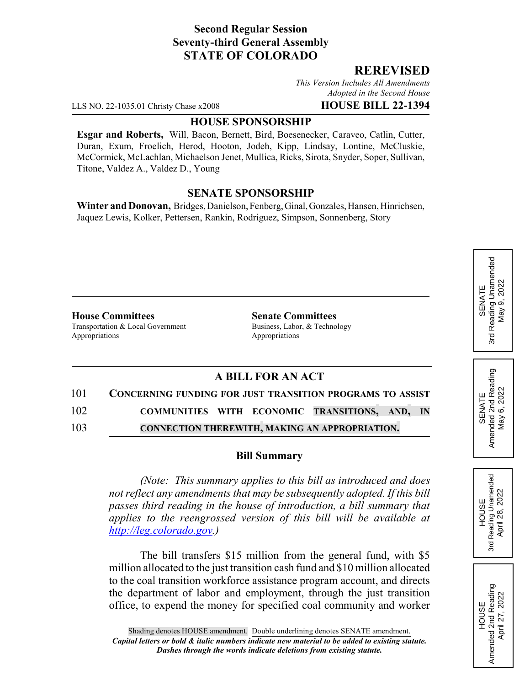## **Second Regular Session Seventy-third General Assembly STATE OF COLORADO**

### **REREVISED**

*This Version Includes All Amendments Adopted in the Second House*

LLS NO. 22-1035.01 Christy Chase x2008 **HOUSE BILL 22-1394**

#### **HOUSE SPONSORSHIP**

**Esgar and Roberts,** Will, Bacon, Bernett, Bird, Boesenecker, Caraveo, Catlin, Cutter, Duran, Exum, Froelich, Herod, Hooton, Jodeh, Kipp, Lindsay, Lontine, McCluskie, McCormick, McLachlan, Michaelson Jenet, Mullica, Ricks, Sirota, Snyder, Soper, Sullivan, Titone, Valdez A., Valdez D., Young

#### **SENATE SPONSORSHIP**

**Winter and Donovan,** Bridges, Danielson, Fenberg, Ginal, Gonzales, Hansen, Hinrichsen, Jaquez Lewis, Kolker, Pettersen, Rankin, Rodriguez, Simpson, Sonnenberg, Story

**House Committees Senate Committees** Transportation & Local Government Business, Labor, & Technology Appropriations Appropriations

## **A BILL FOR AN ACT**

# 101 **CONCERNING FUNDING FOR JUST TRANSITION PROGRAMS TO ASSIST** 102 **COMMUNITIES WITH ECONOMIC TRANSITIONS, AND, IN** 103 **CONNECTION THEREWITH, MAKING AN APPROPRIATION.**

#### **Bill Summary**

*(Note: This summary applies to this bill as introduced and does not reflect any amendments that may be subsequently adopted. If this bill passes third reading in the house of introduction, a bill summary that applies to the reengrossed version of this bill will be available at http://leg.colorado.gov.)*

The bill transfers \$15 million from the general fund, with \$5 million allocated to the just transition cash fund and \$10 million allocated to the coal transition workforce assistance program account, and directs the department of labor and employment, through the just transition office, to expend the money for specified coal community and worker

SENATE<br>Reading Unamended 3rd Reading Unamended May 9, 2022 May 9, 2022 3rd

SENATE<br>Amended 2nd Reading<br>May 6, 2022 Amended 2nd Reading May 6, 2022

HOUSE<br>Reading Unamended<br>April 28, 2022 3rd Reading Unamended April 28, 2022

3rd

HOUSE<br>Amended 2nd Reading Amended 2nd Reading April 27, 2022

April 27, 2022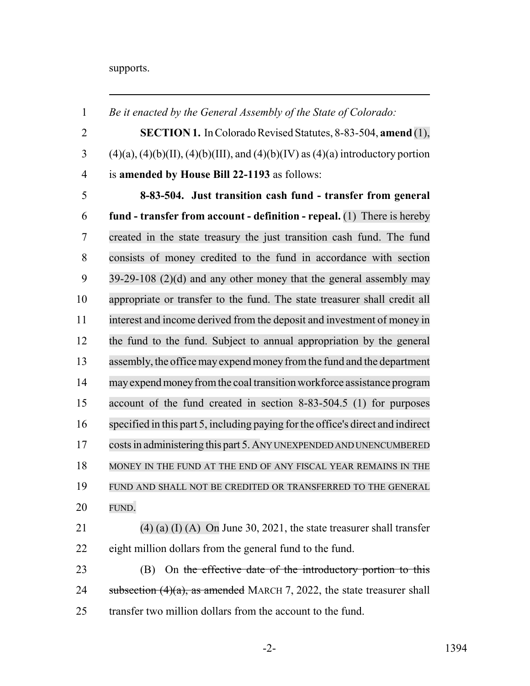supports.

 *Be it enacted by the General Assembly of the State of Colorado:* **SECTION 1.** In Colorado Revised Statutes, 8-83-504, **amend** (1), (4)(a), (4)(b)(II), (4)(b)(III), and (4)(b)(IV) as (4)(a) introductory portion is **amended by House Bill 22-1193** as follows: **8-83-504. Just transition cash fund - transfer from general fund - transfer from account - definition - repeal.** (1) There is hereby created in the state treasury the just transition cash fund. The fund consists of money credited to the fund in accordance with section 39-29-108 (2)(d) and any other money that the general assembly may appropriate or transfer to the fund. The state treasurer shall credit all interest and income derived from the deposit and investment of money in the fund to the fund. Subject to annual appropriation by the general 13 assembly, the office may expend money from the fund and the department mayexpend money from the coal transition workforce assistance program account of the fund created in section 8-83-504.5 (1) for purposes specified in this part 5, including paying forthe office's direct and indirect costs in administering this part 5. ANY UNEXPENDED AND UNENCUMBERED MONEY IN THE FUND AT THE END OF ANY FISCAL YEAR REMAINS IN THE FUND AND SHALL NOT BE CREDITED OR TRANSFERRED TO THE GENERAL FUND. 21 (4) (a) (I) (A) On June 30, 2021, the state treasurer shall transfer eight million dollars from the general fund to the fund. 23 (B) On the effective date of the introductory portion to this 24 subsection  $(4)(a)$ , as amended MARCH 7, 2022, the state treasurer shall 25 transfer two million dollars from the account to the fund.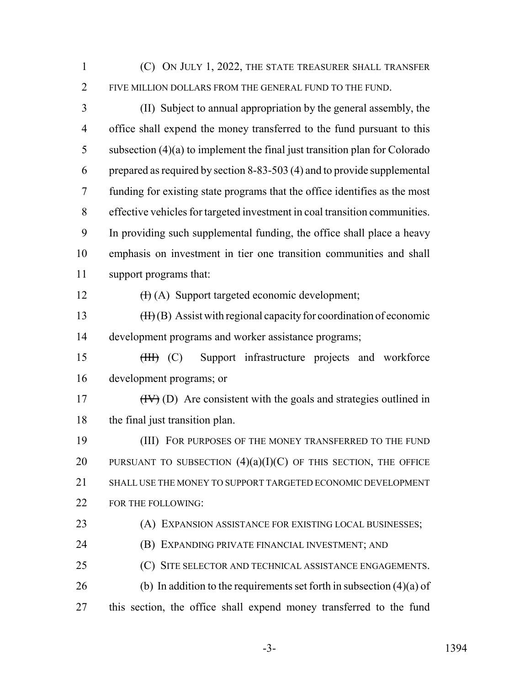(C) ON JULY 1, 2022, THE STATE TREASURER SHALL TRANSFER FIVE MILLION DOLLARS FROM THE GENERAL FUND TO THE FUND.

 (II) Subject to annual appropriation by the general assembly, the office shall expend the money transferred to the fund pursuant to this subsection (4)(a) to implement the final just transition plan for Colorado prepared as required by section 8-83-503 (4) and to provide supplemental funding for existing state programs that the office identifies as the most effective vehicles for targeted investment in coal transition communities. In providing such supplemental funding, the office shall place a heavy emphasis on investment in tier one transition communities and shall support programs that:

12  $(H)(A)$  Support targeted economic development;

13  $(H)(B)$  Assist with regional capacity for coordination of economic development programs and worker assistance programs;

15 (III) (C) Support infrastructure projects and workforce development programs; or

 (IV) (D) Are consistent with the goals and strategies outlined in 18 the final just transition plan.

 (III) FOR PURPOSES OF THE MONEY TRANSFERRED TO THE FUND 20 PURSUANT TO SUBSECTION  $(4)(a)(I)(C)$  OF THIS SECTION, THE OFFICE SHALL USE THE MONEY TO SUPPORT TARGETED ECONOMIC DEVELOPMENT 22 FOR THE FOLLOWING:

(A) EXPANSION ASSISTANCE FOR EXISTING LOCAL BUSINESSES;

(B) EXPANDING PRIVATE FINANCIAL INVESTMENT; AND

(C) SITE SELECTOR AND TECHNICAL ASSISTANCE ENGAGEMENTS.

26 (b) In addition to the requirements set forth in subsection  $(4)(a)$  of

this section, the office shall expend money transferred to the fund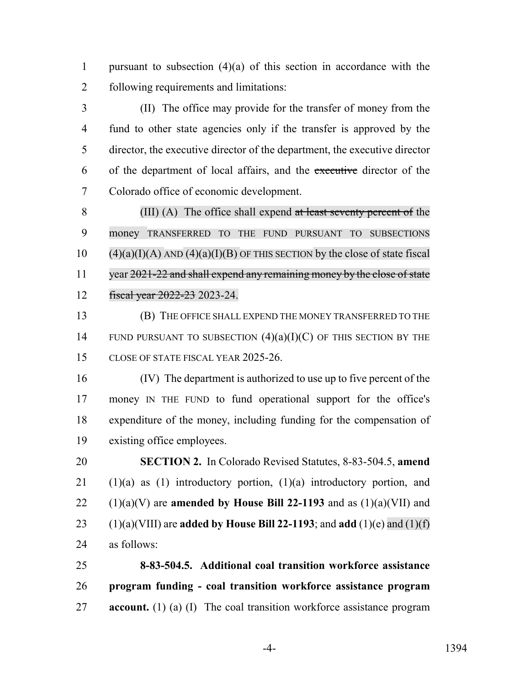1 pursuant to subsection  $(4)(a)$  of this section in accordance with the following requirements and limitations:

 (II) The office may provide for the transfer of money from the fund to other state agencies only if the transfer is approved by the director, the executive director of the department, the executive director of the department of local affairs, and the executive director of the Colorado office of economic development.

 (III) (A) The office shall expend at least seventy percent of the money TRANSFERRED TO THE FUND PURSUANT TO SUBSECTIONS (4)(a)(I)(A) AND (4)(a)(I)(B) OF THIS SECTION by the close of state fiscal 11 year 2021-22 and shall expend any remaining money by the close of state fiscal year 2022-23 2023-24.

 (B) THE OFFICE SHALL EXPEND THE MONEY TRANSFERRED TO THE 14 FUND PURSUANT TO SUBSECTION  $(4)(a)(I)(C)$  OF THIS SECTION BY THE CLOSE OF STATE FISCAL YEAR 2025-26.

 (IV) The department is authorized to use up to five percent of the money IN THE FUND to fund operational support for the office's expenditure of the money, including funding for the compensation of existing office employees.

 **SECTION 2.** In Colorado Revised Statutes, 8-83-504.5, **amend** (1)(a) as (1) introductory portion, (1)(a) introductory portion, and  $(1)(a)(V)$  are **amended by House Bill 22-1193** and as  $(1)(a)(VII)$  and (1)(a)(VIII) are **added by House Bill 22-1193**; and **add** (1)(e) and (1)(f) as follows:

 **8-83-504.5. Additional coal transition workforce assistance program funding - coal transition workforce assistance program account.** (1) (a) (I) The coal transition workforce assistance program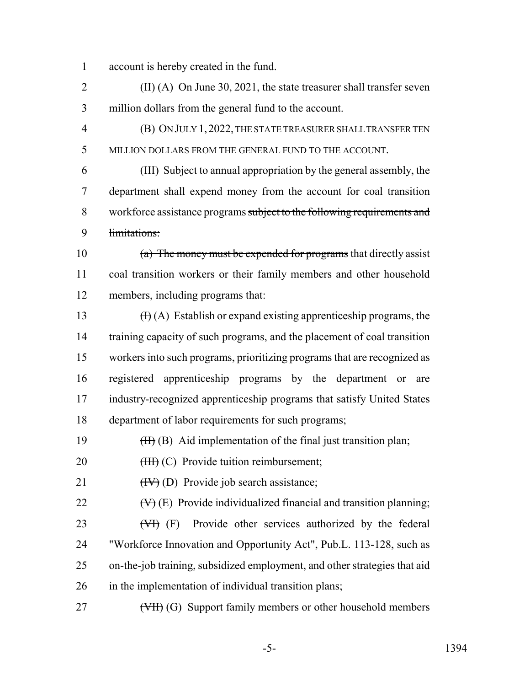account is hereby created in the fund.

 (II) (A) On June 30, 2021, the state treasurer shall transfer seven million dollars from the general fund to the account.

 (B) ON JULY 1,2022, THE STATE TREASURER SHALL TRANSFER TEN MILLION DOLLARS FROM THE GENERAL FUND TO THE ACCOUNT.

 (III) Subject to annual appropriation by the general assembly, the department shall expend money from the account for coal transition 8 workforce assistance programs subject to the following requirements and limitations:

 (a) The money must be expended for programs that directly assist coal transition workers or their family members and other household members, including programs that:

 $(H)(A)$  Establish or expand existing apprenticeship programs, the 14 training capacity of such programs, and the placement of coal transition workers into such programs, prioritizing programs that are recognized as registered apprenticeship programs by the department or are industry-recognized apprenticeship programs that satisfy United States department of labor requirements for such programs;

19  $(H<sub>1</sub>(B)$  Aid implementation of the final just transition plan;

20 (HH) (C) Provide tuition reimbursement;

21  $(HV)(D)$  Provide job search assistance;

22  $(\forall)$  (E) Provide individualized financial and transition planning;

23 (VI) (F) Provide other services authorized by the federal "Workforce Innovation and Opportunity Act", Pub.L. 113-128, such as on-the-job training, subsidized employment, and other strategies that aid in the implementation of individual transition plans;

27 (VII) (G) Support family members or other household members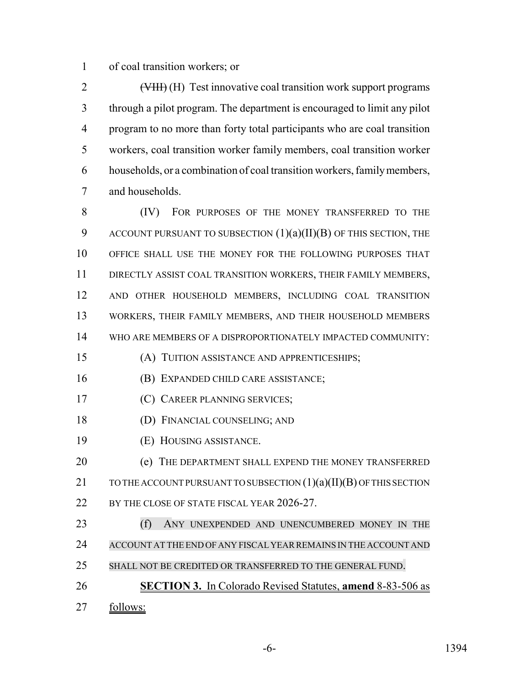of coal transition workers; or

2 (<del>VIII)</del> (H) Test innovative coal transition work support programs through a pilot program. The department is encouraged to limit any pilot program to no more than forty total participants who are coal transition workers, coal transition worker family members, coal transition worker households, or a combination of coal transition workers, family members, and households.

 (IV) FOR PURPOSES OF THE MONEY TRANSFERRED TO THE 9 ACCOUNT PURSUANT TO SUBSECTION  $(1)(a)(II)(B)$  OF THIS SECTION, THE OFFICE SHALL USE THE MONEY FOR THE FOLLOWING PURPOSES THAT DIRECTLY ASSIST COAL TRANSITION WORKERS, THEIR FAMILY MEMBERS, AND OTHER HOUSEHOLD MEMBERS, INCLUDING COAL TRANSITION WORKERS, THEIR FAMILY MEMBERS, AND THEIR HOUSEHOLD MEMBERS WHO ARE MEMBERS OF A DISPROPORTIONATELY IMPACTED COMMUNITY:

(A) TUITION ASSISTANCE AND APPRENTICESHIPS;

(B) EXPANDED CHILD CARE ASSISTANCE;

(C) CAREER PLANNING SERVICES;

(D) FINANCIAL COUNSELING; AND

(E) HOUSING ASSISTANCE.

**(e) THE DEPARTMENT SHALL EXPEND THE MONEY TRANSFERRED** 21 TO THE ACCOUNT PURSUANT TO SUBSECTION (1)(a)(II)(B) OF THIS SECTION 22 BY THE CLOSE OF STATE FISCAL YEAR 2026-27.

 (f) ANY UNEXPENDED AND UNENCUMBERED MONEY IN THE ACCOUNT AT THE END OFANY FISCALYEARREMAINS IN THE ACCOUNT AND SHALL NOT BE CREDITED OR TRANSFERRED TO THE GENERAL FUND.

**SECTION 3.** In Colorado Revised Statutes, **amend** 8-83-506 as

follows: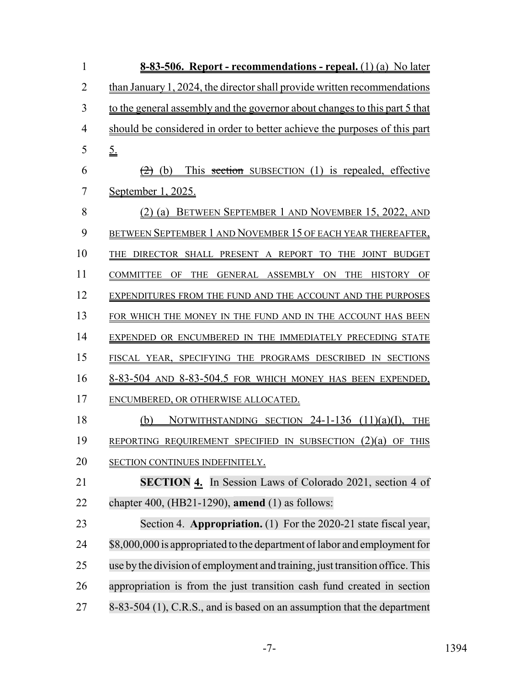| 1              | 8-83-506. Report - recommendations - repeal. (1) (a) No later                           |
|----------------|-----------------------------------------------------------------------------------------|
| $\overline{2}$ | than January 1, 2024, the director shall provide written recommendations                |
| 3              | to the general assembly and the governor about changes to this part 5 that              |
| $\overline{4}$ | should be considered in order to better achieve the purposes of this part               |
| 5              | $\underline{\underline{5}}$ .                                                           |
| 6              | This section SUBSECTION (1) is repealed, effective<br>(b)                               |
| 7              | <u>September 1, 2025.</u>                                                               |
| 8              | BETWEEN SEPTEMBER 1 AND NOVEMBER 15, 2022, AND<br>$(2)$ (a)                             |
| 9              | BETWEEN SEPTEMBER 1 AND NOVEMBER 15 OF EACH YEAR THEREAFTER,                            |
| 10             | THE DIRECTOR SHALL PRESENT A REPORT TO<br>THE JOINT BUDGET                              |
| 11             | GENERAL ASSEMBLY ON<br><b>COMMITTEE</b><br><b>THE</b><br><b>THE</b><br>HISTORY OF<br>OF |
| 12             | EXPENDITURES FROM THE FUND AND THE ACCOUNT AND THE PURPOSES                             |
| 13             | FOR WHICH THE MONEY IN THE FUND AND IN THE ACCOUNT HAS BEEN                             |
| 14             | EXPENDED OR ENCUMBERED IN THE IMMEDIATELY PRECEDING STATE                               |
| 15             | FISCAL YEAR, SPECIFYING THE PROGRAMS DESCRIBED IN SECTIONS                              |
| 16             | 8-83-504 AND 8-83-504.5 FOR WHICH MONEY HAS BEEN EXPENDED,                              |
| 17             | ENCUMBERED, OR OTHERWISE ALLOCATED.                                                     |
| 18             | NOTWITHSTANDING SECTION $24-1-136$ $(11)(a)(I)$ ,<br>(b)<br><b>THE</b>                  |
| 19             | REPORTING REQUIREMENT SPECIFIED IN SUBSECTION (2)(a) OF THIS                            |
| 20             | SECTION CONTINUES INDEFINITELY.                                                         |
| 21             | SECTION 4. In Session Laws of Colorado 2021, section 4 of                               |
| 22             | chapter 400, (HB21-1290), amend $(1)$ as follows:                                       |
| 23             | Section 4. Appropriation. (1) For the 2020-21 state fiscal year,                        |
| 24             | \$8,000,000 is appropriated to the department of labor and employment for               |
| 25             | use by the division of employment and training, just transition office. This            |
| 26             | appropriation is from the just transition cash fund created in section                  |
| 27             | 8-83-504 (1), C.R.S., and is based on an assumption that the department                 |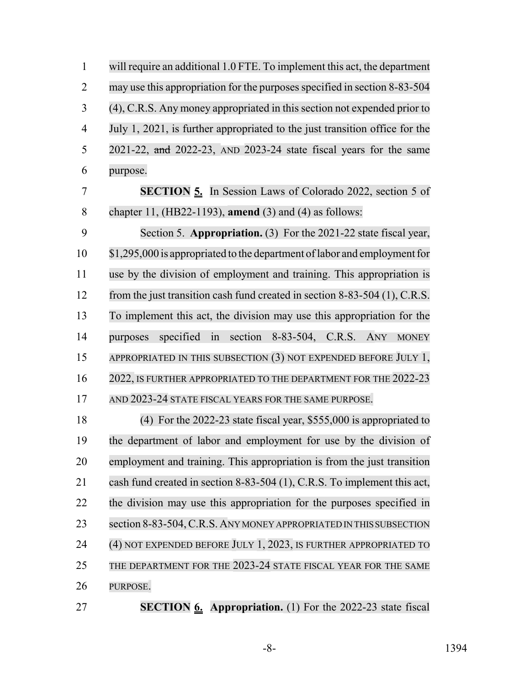| $\mathbf{1}$   | will require an additional 1.0 FTE. To implement this act, the department   |
|----------------|-----------------------------------------------------------------------------|
| $\overline{2}$ | may use this appropriation for the purposes specified in section 8-83-504   |
| 3              | (4), C.R.S. Any money appropriated in this section not expended prior to    |
| $\overline{4}$ | July 1, 2021, is further appropriated to the just transition office for the |
| 5              | 2021-22, and 2022-23, AND 2023-24 state fiscal years for the same           |
| 6              | purpose.                                                                    |
| $\overline{7}$ | <b>SECTION 5.</b> In Session Laws of Colorado 2022, section 5 of            |
| 8              | chapter 11, (HB22-1193), amend (3) and (4) as follows:                      |
| 9              | Section 5. Appropriation. (3) For the 2021-22 state fiscal year,            |
| 10             | \$1,295,000 is appropriated to the department of labor and employment for   |
| 11             | use by the division of employment and training. This appropriation is       |
| 12             | from the just transition cash fund created in section 8-83-504 (1), C.R.S.  |
| 13             | To implement this act, the division may use this appropriation for the      |
| 14             | specified in<br>section 8-83-504, C.R.S. ANY<br><b>MONEY</b><br>purposes    |
| 15             | APPROPRIATED IN THIS SUBSECTION (3) NOT EXPENDED BEFORE JULY 1,             |
| 16             | 2022, IS FURTHER APPROPRIATED TO THE DEPARTMENT FOR THE 2022-23             |
| 17             | AND 2023-24 STATE FISCAL YEARS FOR THE SAME PURPOSE.                        |
| 18             | (4) For the $2022-23$ state fiscal year, \$555,000 is appropriated to       |
| 19             | the department of labor and employment for use by the division of           |
| 20             | employment and training. This appropriation is from the just transition     |
| 21             | cash fund created in section 8-83-504 (1), C.R.S. To implement this act,    |
| 22             | the division may use this appropriation for the purposes specified in       |
| 23             | section 8-83-504, C.R.S. ANY MONEY APPROPRIATED IN THIS SUBSECTION          |
| 24             | (4) NOT EXPENDED BEFORE JULY 1, 2023, IS FURTHER APPROPRIATED TO            |
| 25             | THE DEPARTMENT FOR THE 2023-24 STATE FISCAL YEAR FOR THE SAME               |
| 26             | PURPOSE.                                                                    |
|                |                                                                             |

**SECTION 6. Appropriation.** (1) For the 2022-23 state fiscal